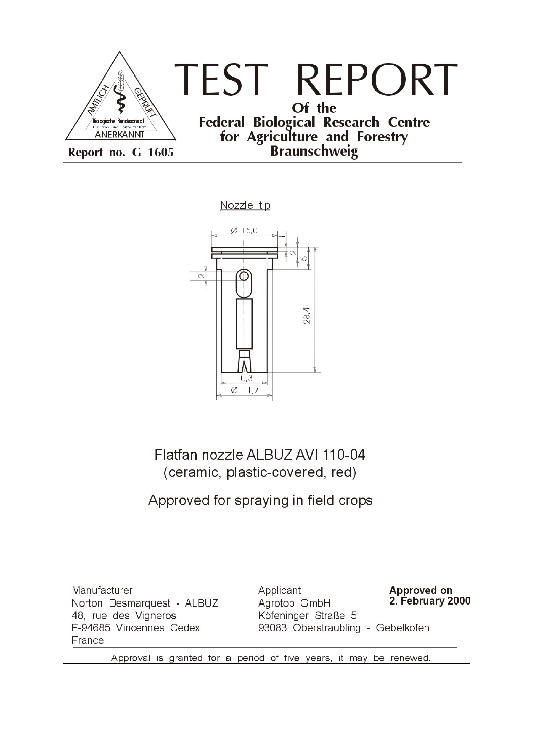

Nozzle tip



Flatfan nozzle ALBUZ AVI 110-04 (ceramic, plastic-covered, red)

## Approved for spraying in field crops

Manufacturer Norton Desmarquest - ALBUZ 48, rue des Vigneros F-94685 Vincennes Cedex France

Applicant **Approved on** 2. February 2000 Agrotop GmbH Köfeninger Straße 5 93083 Oberstraubling - Gebelkofen

Approval is granted for a period of five years, it may be renewed.